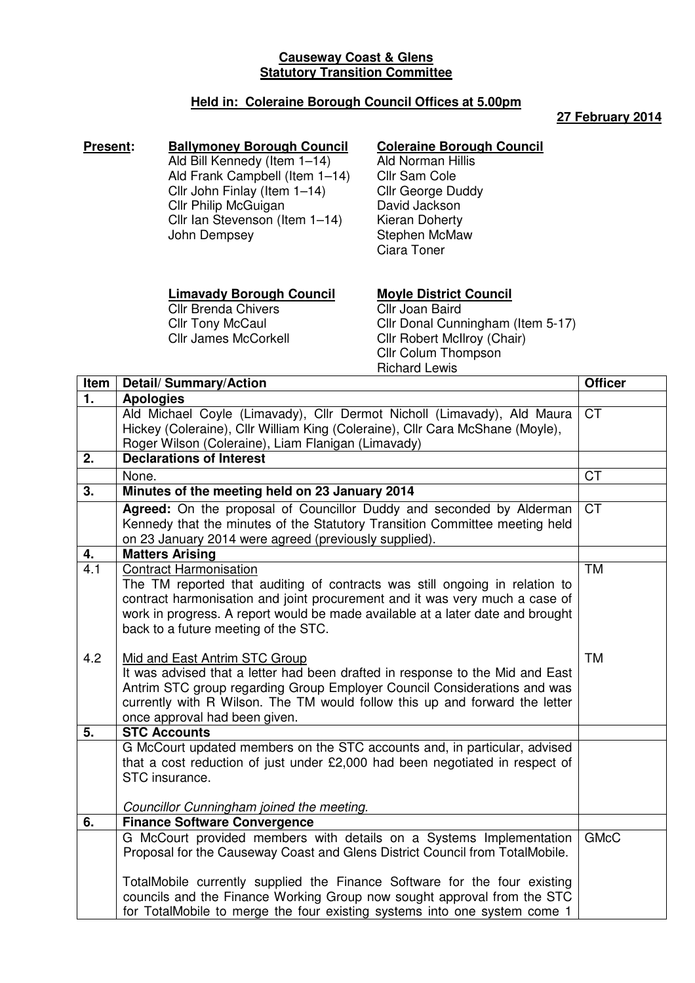#### **Causeway Coast & Glens Statutory Transition Committee**

### **Held in: Coleraine Borough Council Offices at 5.00pm**

#### **27 February 2014**

### **Present: Ballymoney Borough Council** Ald Bill Kennedy (Item 1–14) Ald Frank Campbell (Item 1–14) Cllr John Finlay (Item 1–14) Cllr Philip McGuigan Cllr Ian Stevenson (Item 1–14) John Dempsey

### **Coleraine Borough Council**

Ald Norman Hillis Cllr Sam Cole Cllr George Duddy David Jackson Kieran Doherty Stephen McMaw Ciara Toner

# **Limavady Borough Council**

Cllr Brenda Chivers **Cllr Tony McCaul** Cllr James McCorkell

## **Moyle District Council**

Cllr Joan Baird Cllr Donal Cunningham (Item 5-17) Cllr Robert McIlroy (Chair) Cllr Colum Thompson Richard Lewis

| Item | <b>Detail/Summary/Action</b>                                                                                                                                                                                                                                                                                          | <b>Officer</b>  |
|------|-----------------------------------------------------------------------------------------------------------------------------------------------------------------------------------------------------------------------------------------------------------------------------------------------------------------------|-----------------|
| 1.   | <b>Apologies</b>                                                                                                                                                                                                                                                                                                      |                 |
|      | Ald Michael Coyle (Limavady), Cllr Dermot Nicholl (Limavady), Ald Maura<br>Hickey (Coleraine), Cllr William King (Coleraine), Cllr Cara McShane (Moyle),<br>Roger Wilson (Coleraine), Liam Flanigan (Limavady)                                                                                                        | $\overline{CT}$ |
| 2.   | <b>Declarations of Interest</b>                                                                                                                                                                                                                                                                                       |                 |
|      | None.                                                                                                                                                                                                                                                                                                                 | <b>CT</b>       |
| 3.   | Minutes of the meeting held on 23 January 2014                                                                                                                                                                                                                                                                        |                 |
|      | Agreed: On the proposal of Councillor Duddy and seconded by Alderman<br>Kennedy that the minutes of the Statutory Transition Committee meeting held<br>on 23 January 2014 were agreed (previously supplied).                                                                                                          | <b>CT</b>       |
| 4.   | <b>Matters Arising</b>                                                                                                                                                                                                                                                                                                |                 |
| 4.1  | <b>Contract Harmonisation</b><br>The TM reported that auditing of contracts was still ongoing in relation to<br>contract harmonisation and joint procurement and it was very much a case of<br>work in progress. A report would be made available at a later date and brought<br>back to a future meeting of the STC. | <b>TM</b>       |
| 4.2  | Mid and East Antrim STC Group<br>It was advised that a letter had been drafted in response to the Mid and East<br>Antrim STC group regarding Group Employer Council Considerations and was<br>currently with R Wilson. The TM would follow this up and forward the letter<br>once approval had been given.            | <b>TM</b>       |
| 5.   | <b>STC Accounts</b>                                                                                                                                                                                                                                                                                                   |                 |
|      | G McCourt updated members on the STC accounts and, in particular, advised<br>that a cost reduction of just under £2,000 had been negotiated in respect of<br>STC insurance.<br>Councillor Cunningham joined the meeting.                                                                                              |                 |
| 6.   | <b>Finance Software Convergence</b>                                                                                                                                                                                                                                                                                   |                 |
|      | G McCourt provided members with details on a Systems Implementation<br>Proposal for the Causeway Coast and Glens District Council from TotalMobile.<br>TotalMobile currently supplied the Finance Software for the four existing                                                                                      | <b>GMcC</b>     |
|      | councils and the Finance Working Group now sought approval from the STC<br>for TotalMobile to merge the four existing systems into one system come 1                                                                                                                                                                  |                 |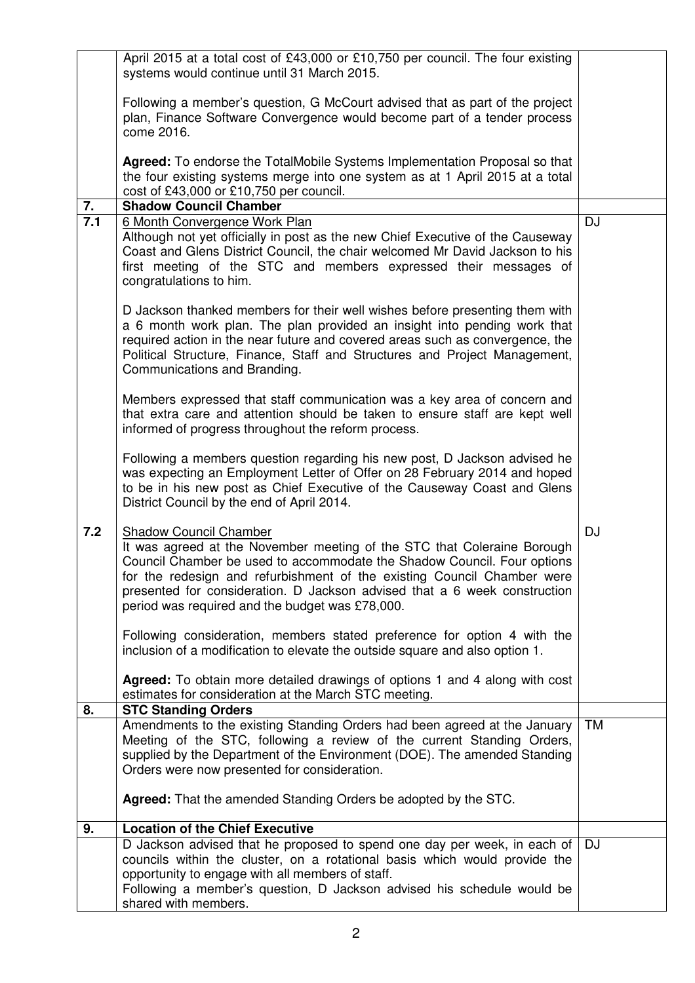|                  | April 2015 at a total cost of £43,000 or £10,750 per council. The four existing<br>systems would continue until 31 March 2015.                                                                                                                                                                                                                                                                 |           |
|------------------|------------------------------------------------------------------------------------------------------------------------------------------------------------------------------------------------------------------------------------------------------------------------------------------------------------------------------------------------------------------------------------------------|-----------|
|                  | Following a member's question, G McCourt advised that as part of the project<br>plan, Finance Software Convergence would become part of a tender process<br>come 2016.                                                                                                                                                                                                                         |           |
|                  | Agreed: To endorse the TotalMobile Systems Implementation Proposal so that<br>the four existing systems merge into one system as at 1 April 2015 at a total<br>cost of £43,000 or £10,750 per council.                                                                                                                                                                                         |           |
| 7.               | <b>Shadow Council Chamber</b>                                                                                                                                                                                                                                                                                                                                                                  |           |
| $\overline{7.1}$ | 6 Month Convergence Work Plan<br>Although not yet officially in post as the new Chief Executive of the Causeway<br>Coast and Glens District Council, the chair welcomed Mr David Jackson to his<br>first meeting of the STC and members expressed their messages of<br>congratulations to him.                                                                                                 | <b>DJ</b> |
|                  | D Jackson thanked members for their well wishes before presenting them with<br>a 6 month work plan. The plan provided an insight into pending work that<br>required action in the near future and covered areas such as convergence, the<br>Political Structure, Finance, Staff and Structures and Project Management,<br>Communications and Branding.                                         |           |
|                  | Members expressed that staff communication was a key area of concern and<br>that extra care and attention should be taken to ensure staff are kept well<br>informed of progress throughout the reform process.                                                                                                                                                                                 |           |
|                  | Following a members question regarding his new post, D Jackson advised he<br>was expecting an Employment Letter of Offer on 28 February 2014 and hoped<br>to be in his new post as Chief Executive of the Causeway Coast and Glens<br>District Council by the end of April 2014.                                                                                                               |           |
| 7.2              | <b>Shadow Council Chamber</b><br>It was agreed at the November meeting of the STC that Coleraine Borough<br>Council Chamber be used to accommodate the Shadow Council. Four options<br>for the redesign and refurbishment of the existing Council Chamber were<br>presented for consideration. D Jackson advised that a 6 week construction<br>period was required and the budget was £78,000. | <b>DJ</b> |
|                  | Following consideration, members stated preference for option 4 with the<br>inclusion of a modification to elevate the outside square and also option 1.                                                                                                                                                                                                                                       |           |
| 8.               | Agreed: To obtain more detailed drawings of options 1 and 4 along with cost<br>estimates for consideration at the March STC meeting.<br><b>STC Standing Orders</b>                                                                                                                                                                                                                             |           |
|                  | Amendments to the existing Standing Orders had been agreed at the January                                                                                                                                                                                                                                                                                                                      | <b>TM</b> |
|                  | Meeting of the STC, following a review of the current Standing Orders,<br>supplied by the Department of the Environment (DOE). The amended Standing<br>Orders were now presented for consideration.                                                                                                                                                                                            |           |
|                  | Agreed: That the amended Standing Orders be adopted by the STC.                                                                                                                                                                                                                                                                                                                                |           |
| 9.               | <b>Location of the Chief Executive</b>                                                                                                                                                                                                                                                                                                                                                         |           |
|                  | D Jackson advised that he proposed to spend one day per week, in each of<br>councils within the cluster, on a rotational basis which would provide the<br>opportunity to engage with all members of staff.<br>Following a member's question, D Jackson advised his schedule would be<br>shared with members.                                                                                   | DJ.       |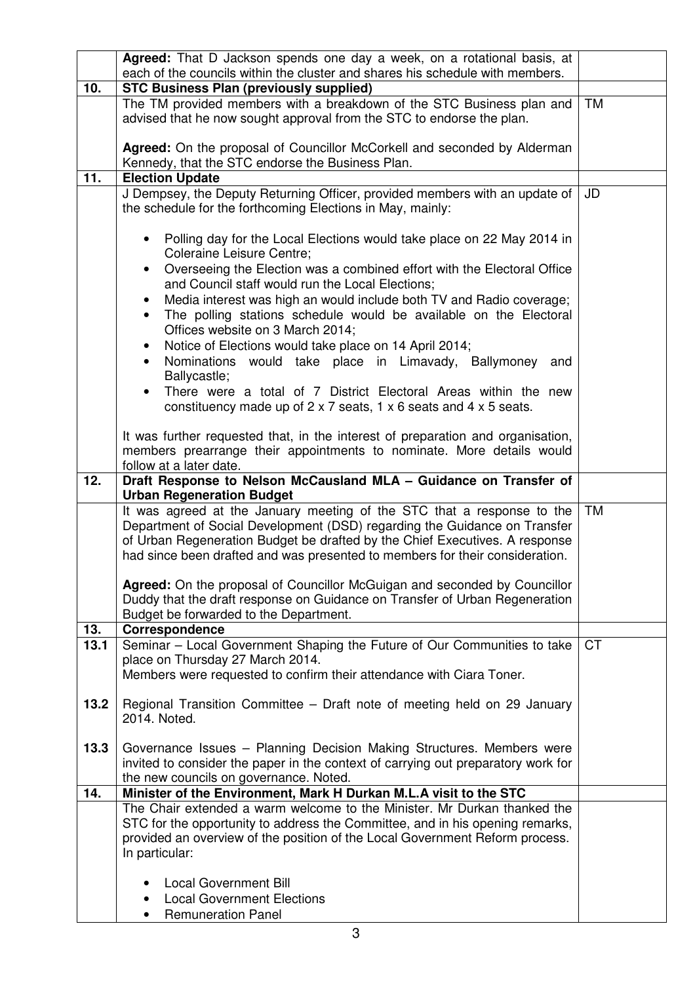|      | Agreed: That D Jackson spends one day a week, on a rotational basis, at                                                                                                                                                                                                                                                        |           |
|------|--------------------------------------------------------------------------------------------------------------------------------------------------------------------------------------------------------------------------------------------------------------------------------------------------------------------------------|-----------|
|      | each of the councils within the cluster and shares his schedule with members.                                                                                                                                                                                                                                                  |           |
| 10.  | <b>STC Business Plan (previously supplied)</b>                                                                                                                                                                                                                                                                                 |           |
|      | The TM provided members with a breakdown of the STC Business plan and<br>advised that he now sought approval from the STC to endorse the plan.                                                                                                                                                                                 | <b>TM</b> |
|      | Agreed: On the proposal of Councillor McCorkell and seconded by Alderman<br>Kennedy, that the STC endorse the Business Plan.                                                                                                                                                                                                   |           |
| 11.  | <b>Election Update</b>                                                                                                                                                                                                                                                                                                         |           |
|      | J Dempsey, the Deputy Returning Officer, provided members with an update of<br>the schedule for the forthcoming Elections in May, mainly:                                                                                                                                                                                      | JD        |
|      | Polling day for the Local Elections would take place on 22 May 2014 in<br><b>Coleraine Leisure Centre;</b><br>Overseeing the Election was a combined effort with the Electoral Office<br>$\bullet$<br>and Council staff would run the Local Elections;<br>Media interest was high an would include both TV and Radio coverage; |           |
|      | The polling stations schedule would be available on the Electoral<br>$\bullet$<br>Offices website on 3 March 2014;<br>Notice of Elections would take place on 14 April 2014;                                                                                                                                                   |           |
|      | $\bullet$<br>Nominations would take place in Limavady, Ballymoney<br>$\bullet$<br>and<br>Ballycastle;                                                                                                                                                                                                                          |           |
|      | There were a total of 7 District Electoral Areas within the new<br>$\bullet$<br>constituency made up of $2 \times 7$ seats, $1 \times 6$ seats and $4 \times 5$ seats.                                                                                                                                                         |           |
|      | It was further requested that, in the interest of preparation and organisation,<br>members prearrange their appointments to nominate. More details would<br>follow at a later date.                                                                                                                                            |           |
| 12.  | Draft Response to Nelson McCausland MLA - Guidance on Transfer of                                                                                                                                                                                                                                                              |           |
|      | <b>Urban Regeneration Budget</b>                                                                                                                                                                                                                                                                                               |           |
|      | It was agreed at the January meeting of the STC that a response to the<br>Department of Social Development (DSD) regarding the Guidance on Transfer<br>of Urban Regeneration Budget be drafted by the Chief Executives. A response<br>had since been drafted and was presented to members for their consideration.             | <b>TM</b> |
|      | Agreed: On the proposal of Councillor McGuigan and seconded by Councillor<br>Duddy that the draft response on Guidance on Transfer of Urban Regeneration<br>Budget be forwarded to the Department.                                                                                                                             |           |
| 13.  | Correspondence                                                                                                                                                                                                                                                                                                                 |           |
| 13.1 | Seminar - Local Government Shaping the Future of Our Communities to take<br>place on Thursday 27 March 2014.<br>Members were requested to confirm their attendance with Ciara Toner.                                                                                                                                           | <b>CT</b> |
| 13.2 | Regional Transition Committee - Draft note of meeting held on 29 January<br>2014. Noted.                                                                                                                                                                                                                                       |           |
| 13.3 | Governance Issues - Planning Decision Making Structures. Members were<br>invited to consider the paper in the context of carrying out preparatory work for<br>the new councils on governance. Noted.                                                                                                                           |           |
| 14.  | Minister of the Environment, Mark H Durkan M.L.A visit to the STC                                                                                                                                                                                                                                                              |           |
|      | The Chair extended a warm welcome to the Minister. Mr Durkan thanked the<br>STC for the opportunity to address the Committee, and in his opening remarks,<br>provided an overview of the position of the Local Government Reform process.<br>In particular:                                                                    |           |
|      | <b>Local Government Bill</b>                                                                                                                                                                                                                                                                                                   |           |
|      | <b>Local Government Elections</b>                                                                                                                                                                                                                                                                                              |           |
|      | <b>Remuneration Panel</b><br>$\bullet$                                                                                                                                                                                                                                                                                         |           |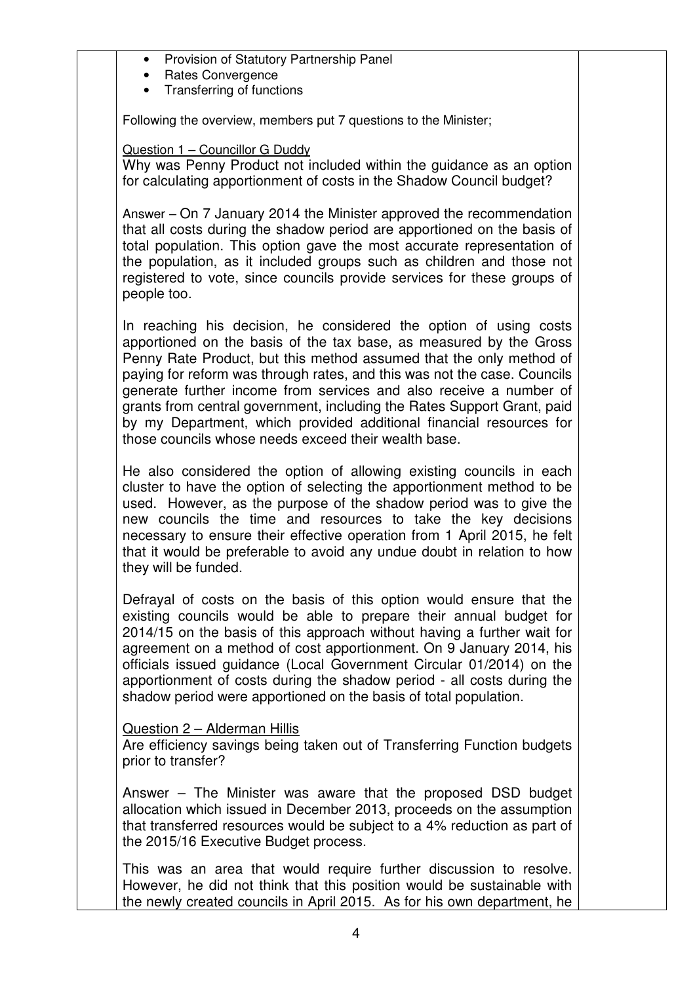| Provision of Statutory Partnership Panel<br>$\bullet$                                                                                               |  |
|-----------------------------------------------------------------------------------------------------------------------------------------------------|--|
| <b>Rates Convergence</b><br>$\bullet$                                                                                                               |  |
| Transferring of functions<br>$\bullet$                                                                                                              |  |
| Following the overview, members put 7 questions to the Minister;                                                                                    |  |
| Question 1 - Councillor G Duddy                                                                                                                     |  |
| Why was Penny Product not included within the guidance as an option                                                                                 |  |
| for calculating apportionment of costs in the Shadow Council budget?                                                                                |  |
| Answer – On 7 January 2014 the Minister approved the recommendation                                                                                 |  |
| that all costs during the shadow period are apportioned on the basis of                                                                             |  |
| total population. This option gave the most accurate representation of                                                                              |  |
| the population, as it included groups such as children and those not                                                                                |  |
| registered to vote, since councils provide services for these groups of                                                                             |  |
| people too.                                                                                                                                         |  |
| In reaching his decision, he considered the option of using costs                                                                                   |  |
| apportioned on the basis of the tax base, as measured by the Gross                                                                                  |  |
| Penny Rate Product, but this method assumed that the only method of                                                                                 |  |
| paying for reform was through rates, and this was not the case. Councils                                                                            |  |
| generate further income from services and also receive a number of                                                                                  |  |
| grants from central government, including the Rates Support Grant, paid                                                                             |  |
| by my Department, which provided additional financial resources for<br>those councils whose needs exceed their wealth base.                         |  |
|                                                                                                                                                     |  |
| He also considered the option of allowing existing councils in each                                                                                 |  |
| cluster to have the option of selecting the apportionment method to be                                                                              |  |
| used. However, as the purpose of the shadow period was to give the                                                                                  |  |
| new councils the time and resources to take the key decisions                                                                                       |  |
| necessary to ensure their effective operation from 1 April 2015, he felt<br>that it would be preferable to avoid any undue doubt in relation to how |  |
| they will be funded.                                                                                                                                |  |
|                                                                                                                                                     |  |
| Defrayal of costs on the basis of this option would ensure that the                                                                                 |  |
| existing councils would be able to prepare their annual budget for                                                                                  |  |
| 2014/15 on the basis of this approach without having a further wait for<br>agreement on a method of cost apportionment. On 9 January 2014, his      |  |
| officials issued guidance (Local Government Circular 01/2014) on the                                                                                |  |
| apportionment of costs during the shadow period - all costs during the                                                                              |  |
| shadow period were apportioned on the basis of total population.                                                                                    |  |
| Question 2 - Alderman Hillis                                                                                                                        |  |
| Are efficiency savings being taken out of Transferring Function budgets                                                                             |  |
| prior to transfer?                                                                                                                                  |  |
| Answer – The Minister was aware that the proposed DSD budget                                                                                        |  |
| allocation which issued in December 2013, proceeds on the assumption                                                                                |  |
| that transferred resources would be subject to a 4% reduction as part of                                                                            |  |
| the 2015/16 Executive Budget process.                                                                                                               |  |
| This was an area that would require further discussion to resolve.                                                                                  |  |
| However, he did not think that this position would be sustainable with                                                                              |  |
| the newly created councils in April 2015. As for his own department, he                                                                             |  |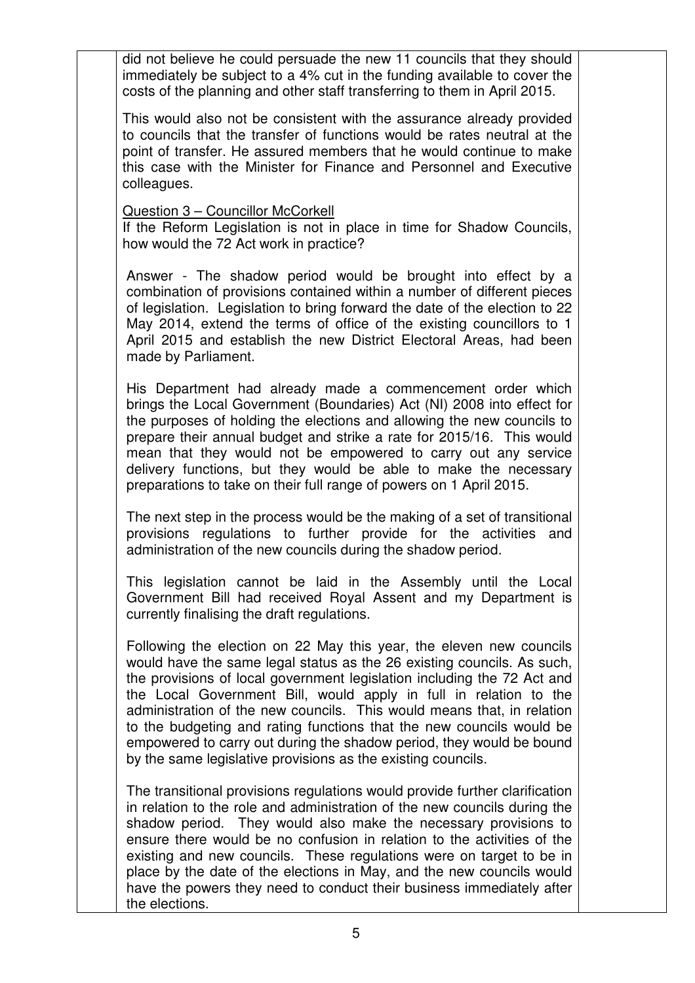did not believe he could persuade the new 11 councils that they should immediately be subject to a 4% cut in the funding available to cover the costs of the planning and other staff transferring to them in April 2015.

This would also not be consistent with the assurance already provided to councils that the transfer of functions would be rates neutral at the point of transfer. He assured members that he would continue to make this case with the Minister for Finance and Personnel and Executive colleagues.

Question 3 – Councillor McCorkell

If the Reform Legislation is not in place in time for Shadow Councils, how would the 72 Act work in practice?

Answer - The shadow period would be brought into effect by a combination of provisions contained within a number of different pieces of legislation. Legislation to bring forward the date of the election to 22 May 2014, extend the terms of office of the existing councillors to 1 April 2015 and establish the new District Electoral Areas, had been made by Parliament.

His Department had already made a commencement order which brings the Local Government (Boundaries) Act (NI) 2008 into effect for the purposes of holding the elections and allowing the new councils to prepare their annual budget and strike a rate for 2015/16. This would mean that they would not be empowered to carry out any service delivery functions, but they would be able to make the necessary preparations to take on their full range of powers on 1 April 2015.

The next step in the process would be the making of a set of transitional provisions regulations to further provide for the activities and administration of the new councils during the shadow period.

This legislation cannot be laid in the Assembly until the Local Government Bill had received Royal Assent and my Department is currently finalising the draft regulations.

Following the election on 22 May this year, the eleven new councils would have the same legal status as the 26 existing councils. As such, the provisions of local government legislation including the 72 Act and the Local Government Bill, would apply in full in relation to the administration of the new councils. This would means that, in relation to the budgeting and rating functions that the new councils would be empowered to carry out during the shadow period, they would be bound by the same legislative provisions as the existing councils.

The transitional provisions regulations would provide further clarification in relation to the role and administration of the new councils during the shadow period. They would also make the necessary provisions to ensure there would be no confusion in relation to the activities of the existing and new councils. These regulations were on target to be in place by the date of the elections in May, and the new councils would have the powers they need to conduct their business immediately after the elections.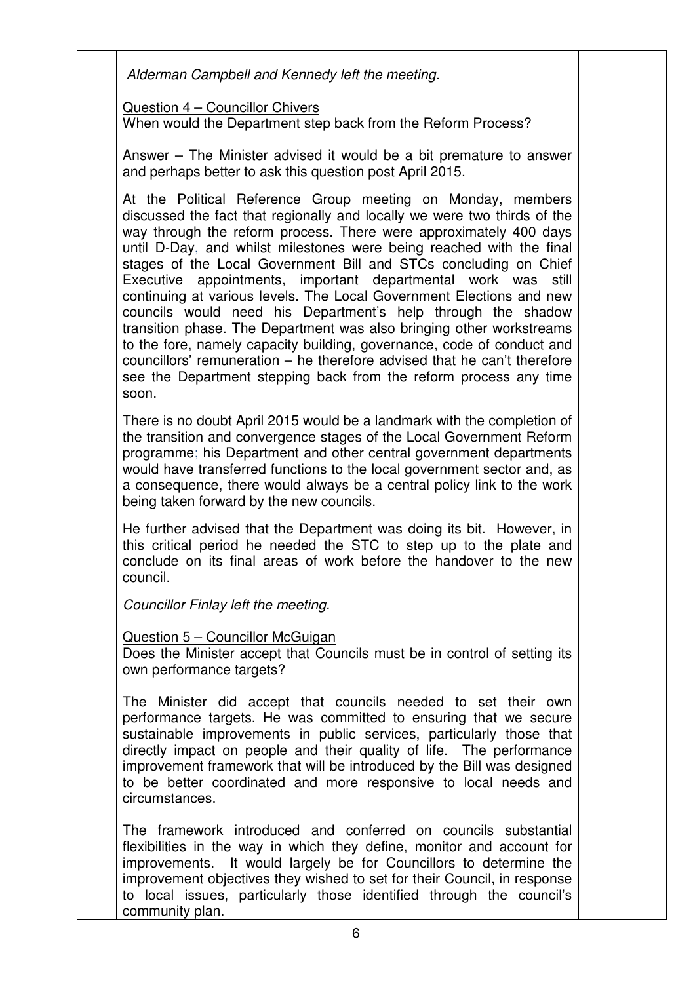Alderman Campbell and Kennedy left the meeting.

Question 4 – Councillor Chivers

When would the Department step back from the Reform Process?

Answer – The Minister advised it would be a bit premature to answer and perhaps better to ask this question post April 2015.

At the Political Reference Group meeting on Monday, members discussed the fact that regionally and locally we were two thirds of the way through the reform process. There were approximately 400 days until D-Day, and whilst milestones were being reached with the final stages of the Local Government Bill and STCs concluding on Chief Executive appointments, important departmental work was still continuing at various levels. The Local Government Elections and new councils would need his Department's help through the shadow transition phase. The Department was also bringing other workstreams to the fore, namely capacity building, governance, code of conduct and councillors' remuneration – he therefore advised that he can't therefore see the Department stepping back from the reform process any time soon.

There is no doubt April 2015 would be a landmark with the completion of the transition and convergence stages of the Local Government Reform programme; his Department and other central government departments would have transferred functions to the local government sector and, as a consequence, there would always be a central policy link to the work being taken forward by the new councils.

He further advised that the Department was doing its bit. However, in this critical period he needed the STC to step up to the plate and conclude on its final areas of work before the handover to the new council.

Councillor Finlay left the meeting.

Question 5 – Councillor McGuigan

Does the Minister accept that Councils must be in control of setting its own performance targets?

The Minister did accept that councils needed to set their own performance targets. He was committed to ensuring that we secure sustainable improvements in public services, particularly those that directly impact on people and their quality of life. The performance improvement framework that will be introduced by the Bill was designed to be better coordinated and more responsive to local needs and circumstances.

The framework introduced and conferred on councils substantial flexibilities in the way in which they define, monitor and account for improvements. It would largely be for Councillors to determine the improvement objectives they wished to set for their Council, in response to local issues, particularly those identified through the council's community plan.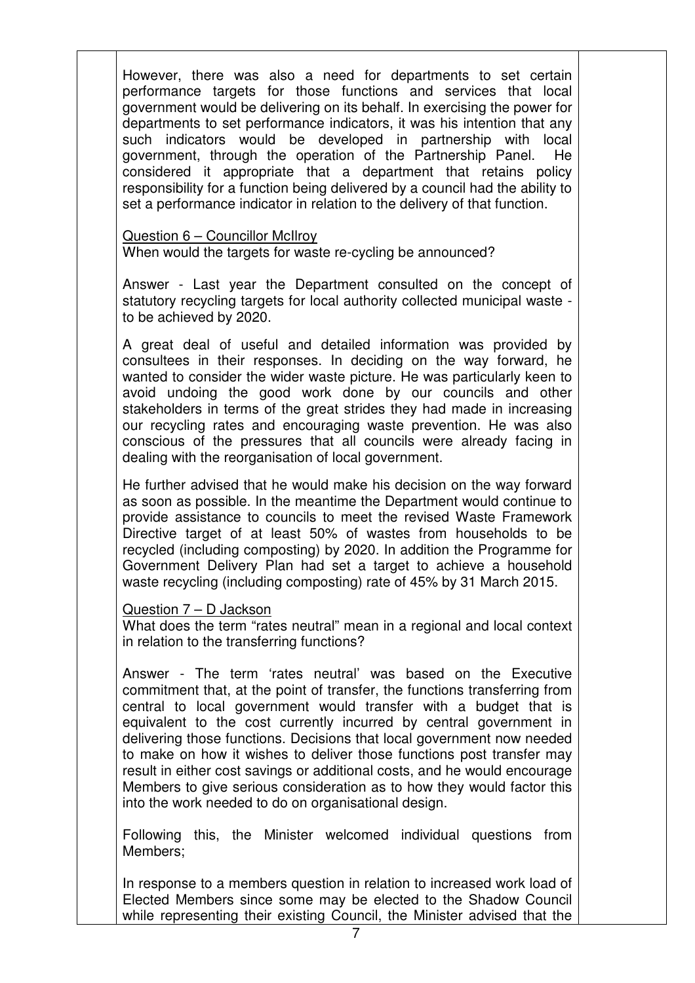However, there was also a need for departments to set certain performance targets for those functions and services that local government would be delivering on its behalf. In exercising the power for departments to set performance indicators, it was his intention that any such indicators would be developed in partnership with local government, through the operation of the Partnership Panel. He considered it appropriate that a department that retains policy responsibility for a function being delivered by a council had the ability to set a performance indicator in relation to the delivery of that function.

### Question 6 - Councillor McIlrov

When would the targets for waste re-cycling be announced?

Answer - Last year the Department consulted on the concept of statutory recycling targets for local authority collected municipal waste to be achieved by 2020.

A great deal of useful and detailed information was provided by consultees in their responses. In deciding on the way forward, he wanted to consider the wider waste picture. He was particularly keen to avoid undoing the good work done by our councils and other stakeholders in terms of the great strides they had made in increasing our recycling rates and encouraging waste prevention. He was also conscious of the pressures that all councils were already facing in dealing with the reorganisation of local government.

He further advised that he would make his decision on the way forward as soon as possible. In the meantime the Department would continue to provide assistance to councils to meet the revised Waste Framework Directive target of at least 50% of wastes from households to be recycled (including composting) by 2020. In addition the Programme for Government Delivery Plan had set a target to achieve a household waste recycling (including composting) rate of 45% by 31 March 2015.

## Question 7 – D Jackson

What does the term "rates neutral" mean in a regional and local context in relation to the transferring functions?

Answer - The term 'rates neutral' was based on the Executive commitment that, at the point of transfer, the functions transferring from central to local government would transfer with a budget that is equivalent to the cost currently incurred by central government in delivering those functions. Decisions that local government now needed to make on how it wishes to deliver those functions post transfer may result in either cost savings or additional costs, and he would encourage Members to give serious consideration as to how they would factor this into the work needed to do on organisational design.

Following this, the Minister welcomed individual questions from Members;

In response to a members question in relation to increased work load of Elected Members since some may be elected to the Shadow Council while representing their existing Council, the Minister advised that the